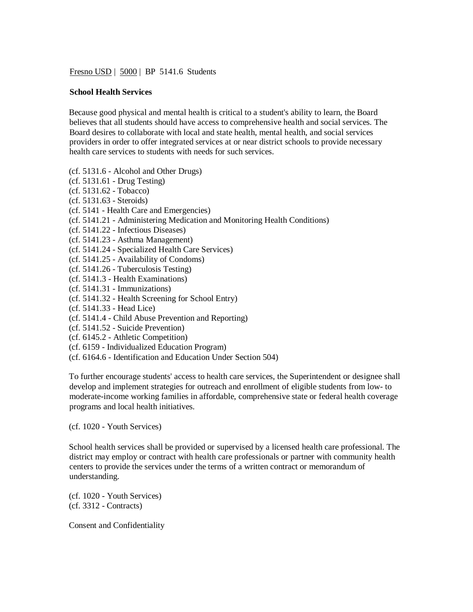Fresno USD | 5000 | BP 5141.6 Students

## **School Health Services**

Because good physical and mental health is critical to a student's ability to learn, the Board believes that all students should have access to comprehensive health and social services. The Board desires to collaborate with local and state health, mental health, and social services providers in order to offer integrated services at or near district schools to provide necessary health care services to students with needs for such services.

- (cf. 5131.6 Alcohol and Other Drugs)
- (cf. 5131.61 Drug Testing)
- (cf. 5131.62 Tobacco)
- (cf. 5131.63 Steroids)
- (cf. 5141 Health Care and Emergencies)
- (cf. 5141.21 Administering Medication and Monitoring Health Conditions)
- (cf. 5141.22 Infectious Diseases)
- (cf. 5141.23 Asthma Management)
- (cf. 5141.24 Specialized Health Care Services)
- (cf. 5141.25 Availability of Condoms)
- (cf. 5141.26 Tuberculosis Testing)
- (cf. 5141.3 Health Examinations)
- (cf. 5141.31 Immunizations)
- (cf. 5141.32 Health Screening for School Entry)
- (cf. 5141.33 Head Lice)
- (cf. 5141.4 Child Abuse Prevention and Reporting)
- (cf. 5141.52 Suicide Prevention)
- (cf. 6145.2 Athletic Competition)
- (cf. 6159 Individualized Education Program)
- (cf. 6164.6 Identification and Education Under Section 504)

To further encourage students' access to health care services, the Superintendent or designee shall develop and implement strategies for outreach and enrollment of eligible students from low- to moderate-income working families in affordable, comprehensive state or federal health coverage programs and local health initiatives.

(cf. 1020 - Youth Services)

School health services shall be provided or supervised by a licensed health care professional. The district may employ or contract with health care professionals or partner with community health centers to provide the services under the terms of a written contract or memorandum of understanding.

(cf. 1020 - Youth Services) (cf. 3312 - Contracts)

Consent and Confidentiality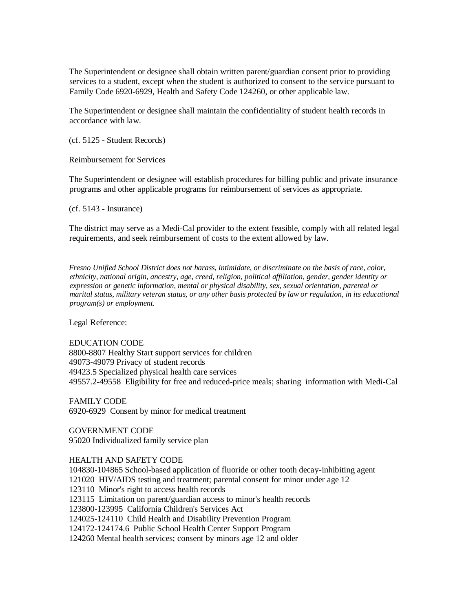The Superintendent or designee shall obtain written parent/guardian consent prior to providing services to a student, except when the student is authorized to consent to the service pursuant to Family Code 6920-6929, Health and Safety Code 124260, or other applicable law.

The Superintendent or designee shall maintain the confidentiality of student health records in accordance with law.

(cf. 5125 - Student Records)

Reimbursement for Services

The Superintendent or designee will establish procedures for billing public and private insurance programs and other applicable programs for reimbursement of services as appropriate.

(cf. 5143 - Insurance)

The district may serve as a Medi-Cal provider to the extent feasible, comply with all related legal requirements, and seek reimbursement of costs to the extent allowed by law.

*Fresno Unified School District does not harass, intimidate, or discriminate on the basis of race, color, ethnicity, national origin, ancestry, age, creed, religion, political affiliation, gender, gender identity or expression or genetic information, mental or physical disability, sex, sexual orientation, parental or marital status, military veteran status, or any other basis protected by law or regulation, in its educational program(s) or employment.*

Legal Reference:

EDUCATION CODE 8800-8807 Healthy Start support services for children 49073-49079 Privacy of student records 49423.5 Specialized physical health care services 49557.2-49558 Eligibility for free and reduced-price meals; sharing information with Medi-Cal

FAMILY CODE 6920-6929 Consent by minor for medical treatment

GOVERNMENT CODE 95020 Individualized family service plan

HEALTH AND SAFETY CODE

104830-104865 School-based application of fluoride or other tooth decay-inhibiting agent 121020 HIV/AIDS testing and treatment; parental consent for minor under age 12 123110 Minor's right to access health records 123115 Limitation on parent/guardian access to minor's health records 123800-123995 California Children's Services Act 124025-124110 Child Health and Disability Prevention Program 124172-124174.6 Public School Health Center Support Program 124260 Mental health services; consent by minors age 12 and older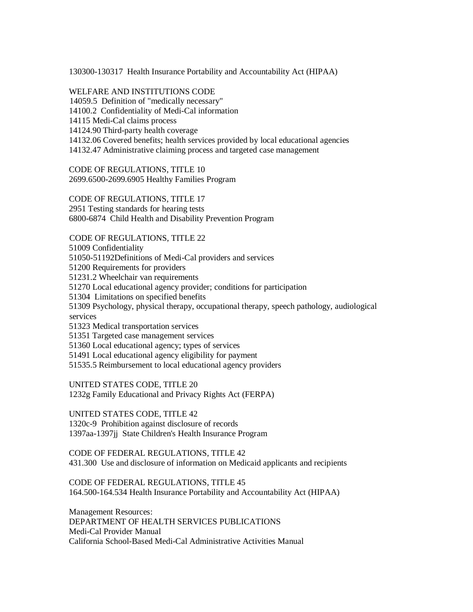130300-130317 Health Insurance Portability and Accountability Act (HIPAA)

WELFARE AND INSTITUTIONS CODE 14059.5 Definition of "medically necessary" 14100.2 Confidentiality of Medi-Cal information 14115 Medi-Cal claims process 14124.90 Third-party health coverage 14132.06 Covered benefits; health services provided by local educational agencies 14132.47 Administrative claiming process and targeted case management

CODE OF REGULATIONS, TITLE 10 2699.6500-2699.6905 Healthy Families Program

CODE OF REGULATIONS, TITLE 17 2951 Testing standards for hearing tests 6800-6874 Child Health and Disability Prevention Program

CODE OF REGULATIONS, TITLE 22

51009 Confidentiality

51050-51192Definitions of Medi-Cal providers and services

51200 Requirements for providers

51231.2 Wheelchair van requirements

51270 Local educational agency provider; conditions for participation

51304 Limitations on specified benefits

51309 Psychology, physical therapy, occupational therapy, speech pathology, audiological services

51323 Medical transportation services

51351 Targeted case management services

51360 Local educational agency; types of services

51491 Local educational agency eligibility for payment

51535.5 Reimbursement to local educational agency providers

UNITED STATES CODE, TITLE 20

1232g Family Educational and Privacy Rights Act (FERPA)

UNITED STATES CODE, TITLE 42 1320c-9 Prohibition against disclosure of records 1397aa-1397jj State Children's Health Insurance Program

CODE OF FEDERAL REGULATIONS, TITLE 42 431.300 Use and disclosure of information on Medicaid applicants and recipients

CODE OF FEDERAL REGULATIONS, TITLE 45 164.500-164.534 Health Insurance Portability and Accountability Act (HIPAA)

Management Resources: DEPARTMENT OF HEALTH SERVICES PUBLICATIONS Medi-Cal Provider Manual California School-Based Medi-Cal Administrative Activities Manual